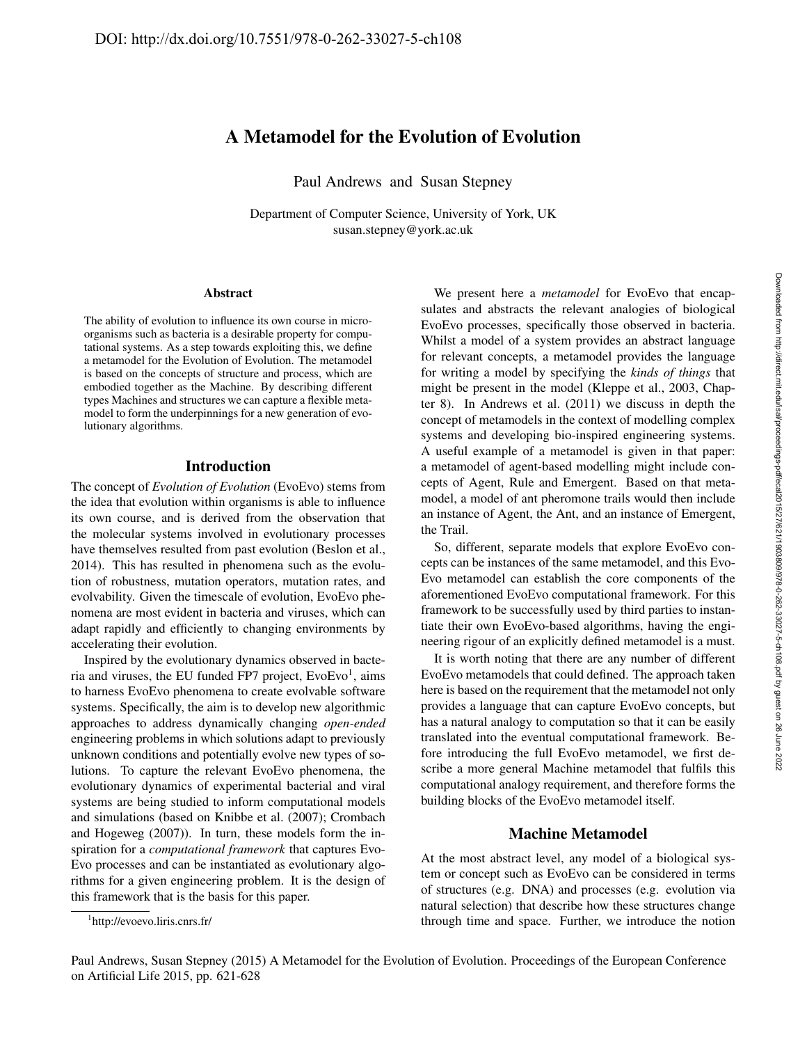# A Metamodel for the Evolution of Evolution

Paul Andrews and Susan Stepney

Department of Computer Science, University of York, UK susan.stepney@york.ac.uk

#### Abstract

The ability of evolution to influence its own course in microorganisms such as bacteria is a desirable property for computational systems. As a step towards exploiting this, we define a metamodel for the Evolution of Evolution. The metamodel is based on the concepts of structure and process, which are embodied together as the Machine. By describing different types Machines and structures we can capture a flexible metamodel to form the underpinnings for a new generation of evolutionary algorithms.

## Introduction

The concept of *Evolution of Evolution* (EvoEvo) stems from the idea that evolution within organisms is able to influence its own course, and is derived from the observation that the molecular systems involved in evolutionary processes have themselves resulted from past evolution (Beslon et al., 2014). This has resulted in phenomena such as the evolution of robustness, mutation operators, mutation rates, and evolvability. Given the timescale of evolution, EvoEvo phenomena are most evident in bacteria and viruses, which can adapt rapidly and efficiently to changing environments by accelerating their evolution.

Inspired by the evolutionary dynamics observed in bacteria and viruses, the EU funded FP7 project, EvoEvo<sup>1</sup>, aims to harness EvoEvo phenomena to create evolvable software systems. Specifically, the aim is to develop new algorithmic approaches to address dynamically changing *open-ended* engineering problems in which solutions adapt to previously unknown conditions and potentially evolve new types of solutions. To capture the relevant EvoEvo phenomena, the evolutionary dynamics of experimental bacterial and viral systems are being studied to inform computational models and simulations (based on Knibbe et al. (2007); Crombach and Hogeweg (2007)). In turn, these models form the inspiration for a *computational framework* that captures Evo-Evo processes and can be instantiated as evolutionary algorithms for a given engineering problem. It is the design of this framework that is the basis for this paper.

We present here a *metamodel* for EvoEvo that encapsulates and abstracts the relevant analogies of biological EvoEvo processes, specifically those observed in bacteria. Whilst a model of a system provides an abstract language for relevant concepts, a metamodel provides the language for writing a model by specifying the *kinds of things* that might be present in the model (Kleppe et al., 2003, Chapter 8). In Andrews et al. (2011) we discuss in depth the concept of metamodels in the context of modelling complex systems and developing bio-inspired engineering systems. A useful example of a metamodel is given in that paper: a metamodel of agent-based modelling might include concepts of Agent, Rule and Emergent. Based on that metamodel, a model of ant pheromone trails would then include an instance of Agent, the Ant, and an instance of Emergent, the Trail.

So, different, separate models that explore EvoEvo concepts can be instances of the same metamodel, and this Evo-Evo metamodel can establish the core components of the aforementioned EvoEvo computational framework. For this framework to be successfully used by third parties to instantiate their own EvoEvo-based algorithms, having the engineering rigour of an explicitly defined metamodel is a must.

It is worth noting that there are any number of different EvoEvo metamodels that could defined. The approach taken here is based on the requirement that the metamodel not only provides a language that can capture EvoEvo concepts, but has a natural analogy to computation so that it can be easily translated into the eventual computational framework. Before introducing the full EvoEvo metamodel, we first describe a more general Machine metamodel that fulfils this computational analogy requirement, and therefore forms the building blocks of the EvoEvo metamodel itself.

#### Machine Metamodel

At the most abstract level, any model of a biological system or concept such as EvoEvo can be considered in terms of structures (e.g. DNA) and processes (e.g. evolution via natural selection) that describe how these structures change through time and space. Further, we introduce the notion

<sup>1</sup> http://evoevo.liris.cnrs.fr/

Paul Andrews, Susan Stepney (2015) A Metamodel for the Evolution of Evolution. Proceedings of the European Conference on Artificial Life 2015, pp. 621-628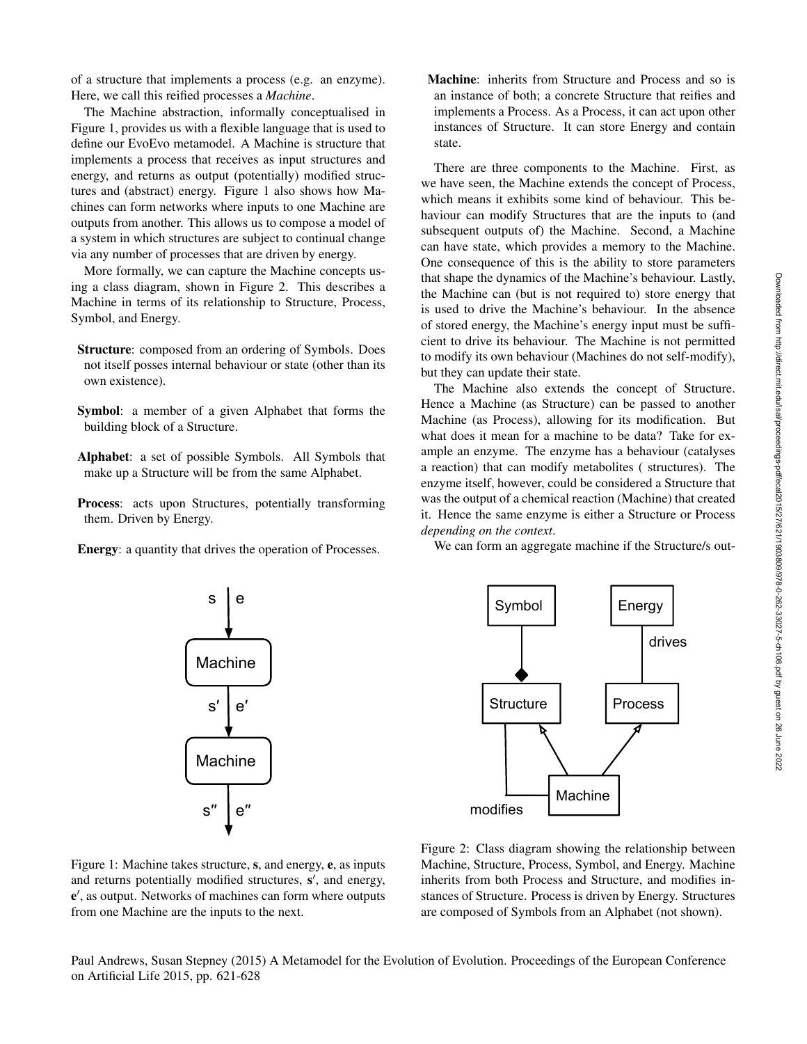of a structure that implements a process (e.g. an enzyme). Here, we call this reified processes a *Machine*.

The Machine abstraction, informally conceptualised in Figure 1, provides us with a flexible language that is used to define our EvoEvo metamodel. A Machine is structure that implements a process that receives as input structures and energy, and returns as output (potentially) modified structures and (abstract) energy. Figure 1 also shows how Machines can form networks where inputs to one Machine are outputs from another. This allows us to compose a model of a system in which structures are subject to continual change via any number of processes that are driven by energy.

More formally, we can capture the Machine concepts using a class diagram, shown in Figure 2. This describes a Machine in terms of its relationship to Structure, Process, Symbol, and Energy.

- Structure: composed from an ordering of Symbols. Does not itself posses internal behaviour or state (other than its own existence).
- Symbol: a member of a given Alphabet that forms the building block of a Structure.
- Alphabet: a set of possible Symbols. All Symbols that make up a Structure will be from the same Alphabet.
- Process: acts upon Structures, potentially transforming them. Driven by Energy.
- Energy: a quantity that drives the operation of Processes.

e

s

**Machine** 

Machine

s′

s′′

Machine: inherits from Structure and Process and so is an instance of both; a concrete Structure that reifies and implements a Process. As a Process, it can act upon other instances of Structure. It can store Energy and contain state.

There are three components to the Machine. First, as we have seen, the Machine extends the concept of Process, which means it exhibits some kind of behaviour. This behaviour can modify Structures that are the inputs to (and subsequent outputs of) the Machine. Second, a Machine can have state, which provides a memory to the Machine. One consequence of this is the ability to store parameters that shape the dynamics of the Machine's behaviour. Lastly, the Machine can (but is not required to) store energy that is used to drive the Machine's behaviour. In the absence of stored energy, the Machine's energy input must be sufficient to drive its behaviour. The Machine is not permitted to modify its own behaviour (Machines do not self-modify), but they can update their state.

The Machine also extends the concept of Structure. Hence a Machine (as Structure) can be passed to another Machine (as Process), allowing for its modification. But what does it mean for a machine to be data? Take for example an enzyme. The enzyme has a behaviour (catalyses a reaction) that can modify metabolites ( structures). The enzyme itself, however, could be considered a Structure that was the output of a chemical reaction (Machine) that created it. Hence the same enzyme is either a Structure or Process *depending on the context*.

We can form an aggregate machine if the Structure/s out-

Figure 1: Machine takes structure, s, and energy, e, as inputs and returns potentially modified structures, s', and energy, e , as output. Networks of machines can form where outputs from one Machine are the inputs to the next.

e′′

e′

Figure 2: Class diagram showing the relationship between Machine, Structure, Process, Symbol, and Energy. Machine inherits from both Process and Structure, and modifies instances of Structure. Process is driven by Energy. Structures are composed of Symbols from an Alphabet (not shown).

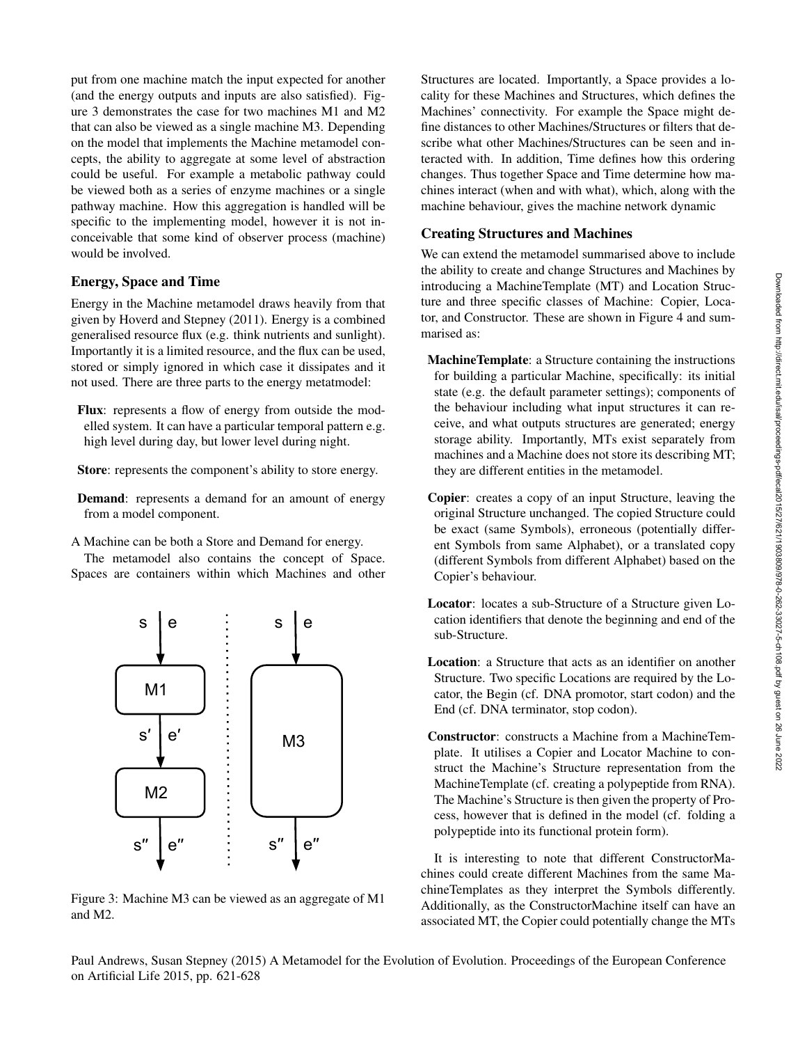put from one machine match the input expected for another (and the energy outputs and inputs are also satisfied). Figure 3 demonstrates the case for two machines M1 and M2 that can also be viewed as a single machine M3. Depending on the model that implements the Machine metamodel concepts, the ability to aggregate at some level of abstraction could be useful. For example a metabolic pathway could be viewed both as a series of enzyme machines or a single pathway machine. How this aggregation is handled will be specific to the implementing model, however it is not inconceivable that some kind of observer process (machine) would be involved.

# Energy, Space and Time

Energy in the Machine metamodel draws heavily from that given by Hoverd and Stepney (2011). Energy is a combined generalised resource flux (e.g. think nutrients and sunlight). Importantly it is a limited resource, and the flux can be used, stored or simply ignored in which case it dissipates and it not used. There are three parts to the energy metatmodel:

- Flux: represents a flow of energy from outside the modelled system. It can have a particular temporal pattern e.g. high level during day, but lower level during night.
- Store: represents the component's ability to store energy.
- Demand: represents a demand for an amount of energy from a model component.
- A Machine can be both a Store and Demand for energy.

The metamodel also contains the concept of Space. Spaces are containers within which Machines and other



Figure 3: Machine M3 can be viewed as an aggregate of M1 and M2.

Structures are located. Importantly, a Space provides a locality for these Machines and Structures, which defines the Machines' connectivity. For example the Space might define distances to other Machines/Structures or filters that describe what other Machines/Structures can be seen and interacted with. In addition, Time defines how this ordering changes. Thus together Space and Time determine how machines interact (when and with what), which, along with the machine behaviour, gives the machine network dynamic

# Creating Structures and Machines

We can extend the metamodel summarised above to include the ability to create and change Structures and Machines by introducing a MachineTemplate (MT) and Location Structure and three specific classes of Machine: Copier, Locator, and Constructor. These are shown in Figure 4 and summarised as:

- MachineTemplate: a Structure containing the instructions for building a particular Machine, specifically: its initial state (e.g. the default parameter settings); components of the behaviour including what input structures it can receive, and what outputs structures are generated; energy storage ability. Importantly, MTs exist separately from machines and a Machine does not store its describing MT; they are different entities in the metamodel.
- Copier: creates a copy of an input Structure, leaving the original Structure unchanged. The copied Structure could be exact (same Symbols), erroneous (potentially different Symbols from same Alphabet), or a translated copy (different Symbols from different Alphabet) based on the Copier's behaviour.
- Locator: locates a sub-Structure of a Structure given Location identifiers that denote the beginning and end of the sub-Structure.
- Location: a Structure that acts as an identifier on another Structure. Two specific Locations are required by the Locator, the Begin (cf. DNA promotor, start codon) and the End (cf. DNA terminator, stop codon).
- Constructor: constructs a Machine from a MachineTemplate. It utilises a Copier and Locator Machine to construct the Machine's Structure representation from the MachineTemplate (cf. creating a polypeptide from RNA). The Machine's Structure is then given the property of Process, however that is defined in the model (cf. folding a polypeptide into its functional protein form).

It is interesting to note that different ConstructorMachines could create different Machines from the same MachineTemplates as they interpret the Symbols differently. Additionally, as the ConstructorMachine itself can have an associated MT, the Copier could potentially change the MTs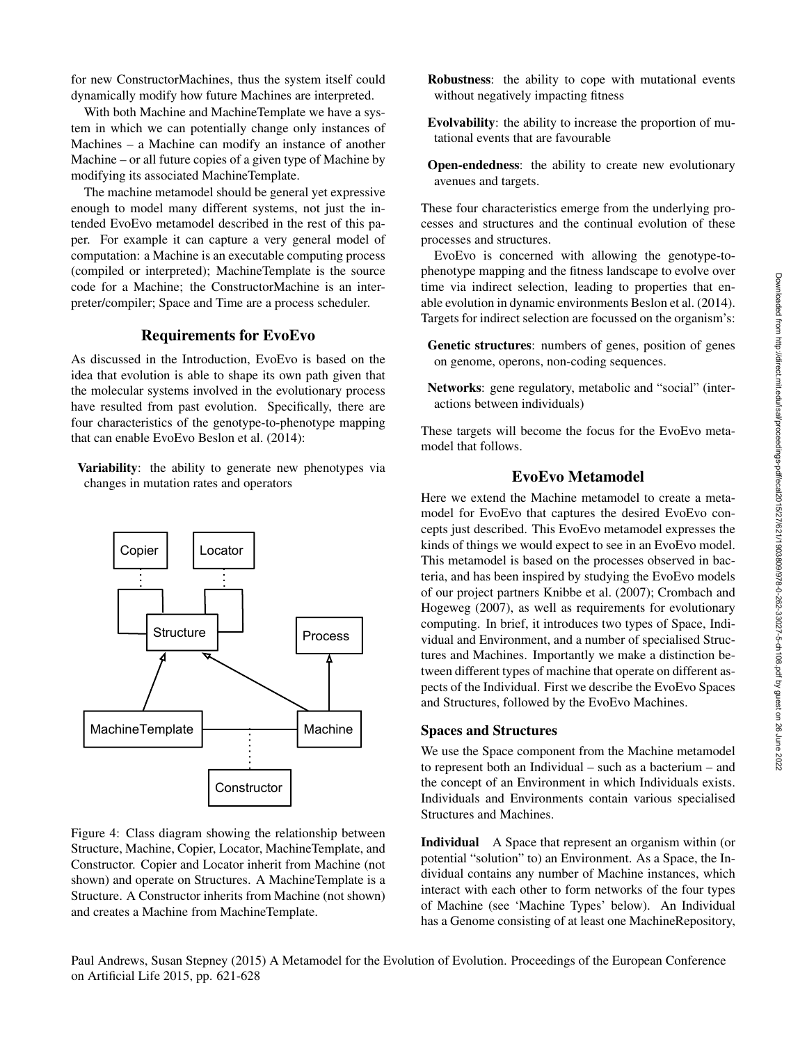for new ConstructorMachines, thus the system itself could dynamically modify how future Machines are interpreted.

With both Machine and MachineTemplate we have a system in which we can potentially change only instances of Machines – a Machine can modify an instance of another Machine – or all future copies of a given type of Machine by modifying its associated MachineTemplate.

The machine metamodel should be general yet expressive enough to model many different systems, not just the intended EvoEvo metamodel described in the rest of this paper. For example it can capture a very general model of computation: a Machine is an executable computing process (compiled or interpreted); MachineTemplate is the source code for a Machine; the ConstructorMachine is an interpreter/compiler; Space and Time are a process scheduler.

## Requirements for EvoEvo

As discussed in the Introduction, EvoEvo is based on the idea that evolution is able to shape its own path given that the molecular systems involved in the evolutionary process have resulted from past evolution. Specifically, there are four characteristics of the genotype-to-phenotype mapping that can enable EvoEvo Beslon et al. (2014):

Variability: the ability to generate new phenotypes via changes in mutation rates and operators

Figure 4: Class diagram showing the relationship between Structure, Machine, Copier, Locator, MachineTemplate, and Constructor. Copier and Locator inherit from Machine (not shown) and operate on Structures. A MachineTemplate is a Structure. A Constructor inherits from Machine (not shown) and creates a Machine from MachineTemplate.

Robustness: the ability to cope with mutational events without negatively impacting fitness

- Evolvability: the ability to increase the proportion of mutational events that are favourable
- Open-endedness: the ability to create new evolutionary avenues and targets.

These four characteristics emerge from the underlying processes and structures and the continual evolution of these processes and structures.

EvoEvo is concerned with allowing the genotype-tophenotype mapping and the fitness landscape to evolve over time via indirect selection, leading to properties that enable evolution in dynamic environments Beslon et al. (2014). Targets for indirect selection are focussed on the organism's:

- Genetic structures: numbers of genes, position of genes on genome, operons, non-coding sequences.
- Networks: gene regulatory, metabolic and "social" (interactions between individuals)

These targets will become the focus for the EvoEvo metamodel that follows.

## EvoEvo Metamodel

Here we extend the Machine metamodel to create a metamodel for EvoEvo that captures the desired EvoEvo concepts just described. This EvoEvo metamodel expresses the kinds of things we would expect to see in an EvoEvo model. This metamodel is based on the processes observed in bacteria, and has been inspired by studying the EvoEvo models of our project partners Knibbe et al. (2007); Crombach and Hogeweg (2007), as well as requirements for evolutionary computing. In brief, it introduces two types of Space, Individual and Environment, and a number of specialised Structures and Machines. Importantly we make a distinction between different types of machine that operate on different aspects of the Individual. First we describe the EvoEvo Spaces and Structures, followed by the EvoEvo Machines.

# Spaces and Structures

We use the Space component from the Machine metamodel to represent both an Individual – such as a bacterium – and the concept of an Environment in which Individuals exists. Individuals and Environments contain various specialised Structures and Machines.

Individual A Space that represent an organism within (or potential "solution" to) an Environment. As a Space, the Individual contains any number of Machine instances, which interact with each other to form networks of the four types of Machine (see 'Machine Types' below). An Individual has a Genome consisting of at least one MachineRepository,

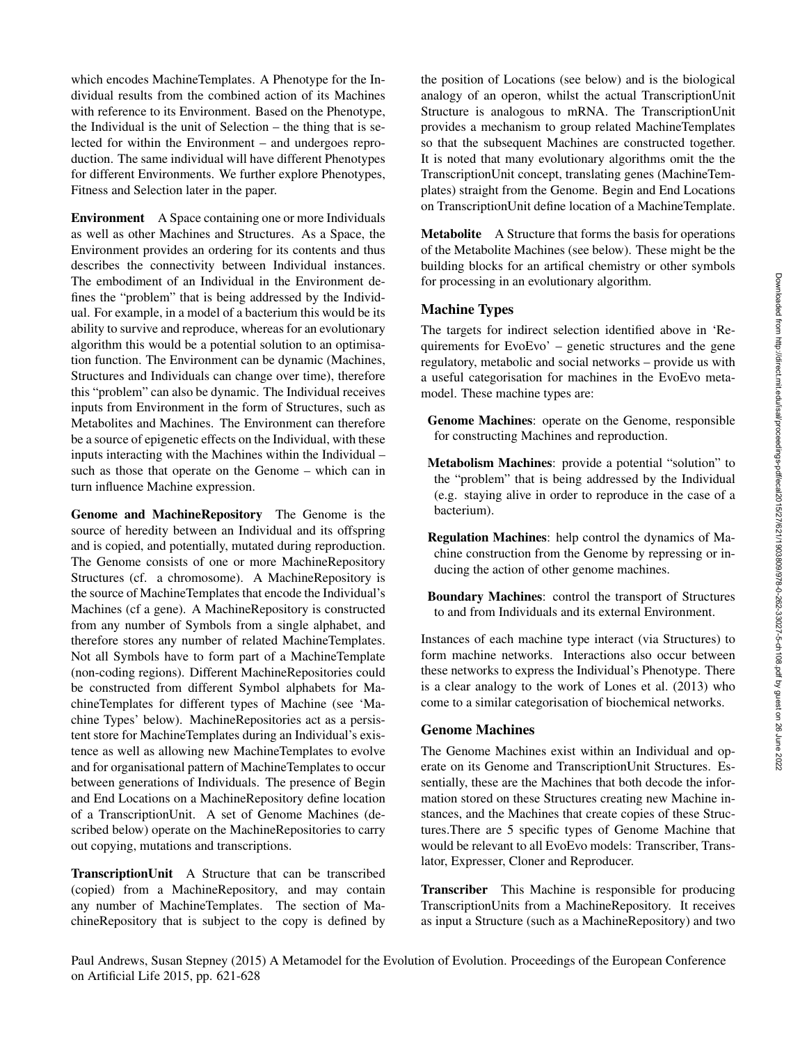which encodes MachineTemplates. A Phenotype for the Individual results from the combined action of its Machines with reference to its Environment. Based on the Phenotype, the Individual is the unit of Selection – the thing that is selected for within the Environment – and undergoes reproduction. The same individual will have different Phenotypes for different Environments. We further explore Phenotypes, Fitness and Selection later in the paper.

Environment A Space containing one or more Individuals as well as other Machines and Structures. As a Space, the Environment provides an ordering for its contents and thus describes the connectivity between Individual instances. The embodiment of an Individual in the Environment defines the "problem" that is being addressed by the Individual. For example, in a model of a bacterium this would be its ability to survive and reproduce, whereas for an evolutionary algorithm this would be a potential solution to an optimisation function. The Environment can be dynamic (Machines, Structures and Individuals can change over time), therefore this "problem" can also be dynamic. The Individual receives inputs from Environment in the form of Structures, such as Metabolites and Machines. The Environment can therefore be a source of epigenetic effects on the Individual, with these inputs interacting with the Machines within the Individual – such as those that operate on the Genome – which can in turn influence Machine expression.

Genome and MachineRepository The Genome is the source of heredity between an Individual and its offspring and is copied, and potentially, mutated during reproduction. The Genome consists of one or more MachineRepository Structures (cf. a chromosome). A MachineRepository is the source of MachineTemplates that encode the Individual's Machines (cf a gene). A MachineRepository is constructed from any number of Symbols from a single alphabet, and therefore stores any number of related MachineTemplates. Not all Symbols have to form part of a MachineTemplate (non-coding regions). Different MachineRepositories could be constructed from different Symbol alphabets for MachineTemplates for different types of Machine (see 'Machine Types' below). MachineRepositories act as a persistent store for MachineTemplates during an Individual's existence as well as allowing new MachineTemplates to evolve and for organisational pattern of MachineTemplates to occur between generations of Individuals. The presence of Begin and End Locations on a MachineRepository define location of a TranscriptionUnit. A set of Genome Machines (described below) operate on the MachineRepositories to carry out copying, mutations and transcriptions.

TranscriptionUnit A Structure that can be transcribed (copied) from a MachineRepository, and may contain any number of MachineTemplates. The section of MachineRepository that is subject to the copy is defined by

the position of Locations (see below) and is the biological analogy of an operon, whilst the actual TranscriptionUnit Structure is analogous to mRNA. The TranscriptionUnit provides a mechanism to group related MachineTemplates so that the subsequent Machines are constructed together. It is noted that many evolutionary algorithms omit the the TranscriptionUnit concept, translating genes (MachineTemplates) straight from the Genome. Begin and End Locations on TranscriptionUnit define location of a MachineTemplate.

Metabolite A Structure that forms the basis for operations of the Metabolite Machines (see below). These might be the building blocks for an artifical chemistry or other symbols for processing in an evolutionary algorithm.

# Machine Types

The targets for indirect selection identified above in 'Requirements for EvoEvo' – genetic structures and the gene regulatory, metabolic and social networks – provide us with a useful categorisation for machines in the EvoEvo metamodel. These machine types are:

- Genome Machines: operate on the Genome, responsible for constructing Machines and reproduction.
- Metabolism Machines: provide a potential "solution" to the "problem" that is being addressed by the Individual (e.g. staying alive in order to reproduce in the case of a bacterium).
- Regulation Machines: help control the dynamics of Machine construction from the Genome by repressing or inducing the action of other genome machines.
- Boundary Machines: control the transport of Structures to and from Individuals and its external Environment.

Instances of each machine type interact (via Structures) to form machine networks. Interactions also occur between these networks to express the Individual's Phenotype. There is a clear analogy to the work of Lones et al. (2013) who come to a similar categorisation of biochemical networks.

### Genome Machines

The Genome Machines exist within an Individual and operate on its Genome and TranscriptionUnit Structures. Essentially, these are the Machines that both decode the information stored on these Structures creating new Machine instances, and the Machines that create copies of these Structures.There are 5 specific types of Genome Machine that would be relevant to all EvoEvo models: Transcriber, Translator, Expresser, Cloner and Reproducer.

Transcriber This Machine is responsible for producing TranscriptionUnits from a MachineRepository. It receives as input a Structure (such as a MachineRepository) and two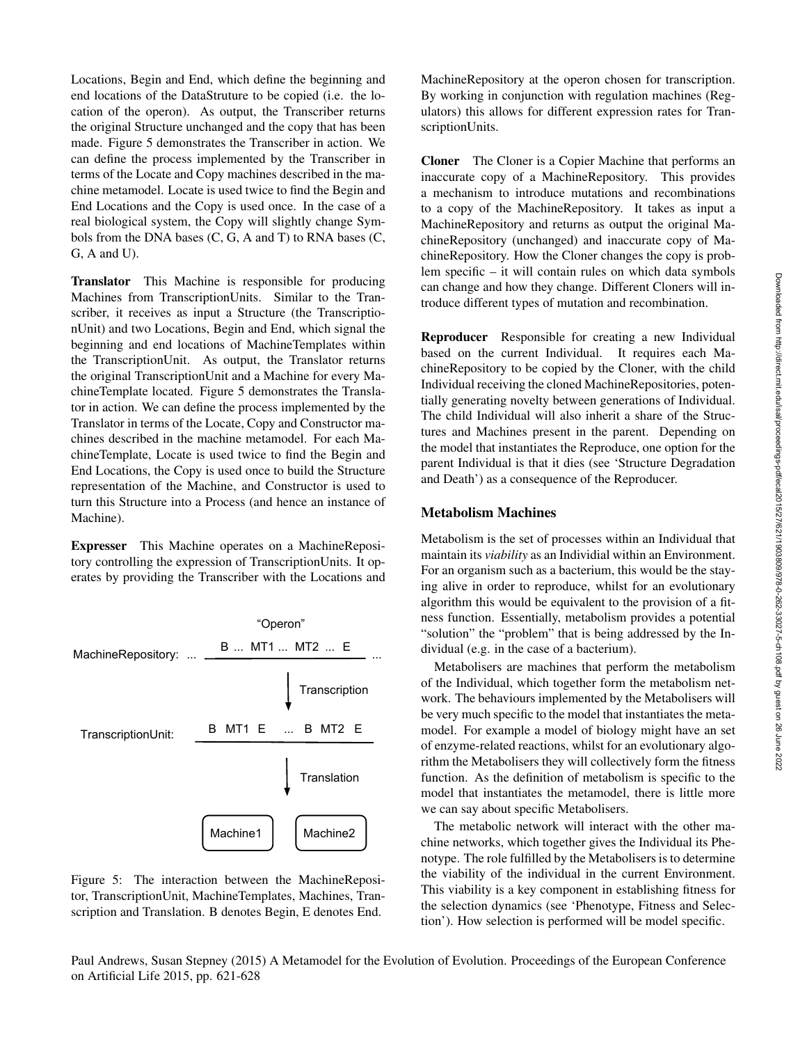Locations, Begin and End, which define the beginning and end locations of the DataStruture to be copied (i.e. the location of the operon). As output, the Transcriber returns the original Structure unchanged and the copy that has been made. Figure 5 demonstrates the Transcriber in action. We can define the process implemented by the Transcriber in terms of the Locate and Copy machines described in the machine metamodel. Locate is used twice to find the Begin and End Locations and the Copy is used once. In the case of a real biological system, the Copy will slightly change Symbols from the DNA bases (C, G, A and T) to RNA bases (C, G, A and U).

Translator This Machine is responsible for producing Machines from TranscriptionUnits. Similar to the Transcriber, it receives as input a Structure (the TranscriptionUnit) and two Locations, Begin and End, which signal the beginning and end locations of MachineTemplates within the TranscriptionUnit. As output, the Translator returns the original TranscriptionUnit and a Machine for every MachineTemplate located. Figure 5 demonstrates the Translator in action. We can define the process implemented by the Translator in terms of the Locate, Copy and Constructor machines described in the machine metamodel. For each MachineTemplate, Locate is used twice to find the Begin and End Locations, the Copy is used once to build the Structure representation of the Machine, and Constructor is used to turn this Structure into a Process (and hence an instance of Machine).

Expresser This Machine operates on a MachineRepository controlling the expression of TranscriptionUnits. It operates by providing the Transcriber with the Locations and



Figure 5: The interaction between the MachineRepositor, TranscriptionUnit, MachineTemplates, Machines, Transcription and Translation. B denotes Begin, E denotes End.

MachineRepository at the operon chosen for transcription. By working in conjunction with regulation machines (Regulators) this allows for different expression rates for TranscriptionUnits.

Cloner The Cloner is a Copier Machine that performs an inaccurate copy of a MachineRepository. This provides a mechanism to introduce mutations and recombinations to a copy of the MachineRepository. It takes as input a MachineRepository and returns as output the original MachineRepository (unchanged) and inaccurate copy of MachineRepository. How the Cloner changes the copy is problem specific – it will contain rules on which data symbols can change and how they change. Different Cloners will introduce different types of mutation and recombination.

Reproducer Responsible for creating a new Individual based on the current Individual. It requires each MachineRepository to be copied by the Cloner, with the child Individual receiving the cloned MachineRepositories, potentially generating novelty between generations of Individual. The child Individual will also inherit a share of the Structures and Machines present in the parent. Depending on the model that instantiates the Reproduce, one option for the parent Individual is that it dies (see 'Structure Degradation and Death') as a consequence of the Reproducer.

#### Metabolism Machines

Metabolism is the set of processes within an Individual that maintain its *viability* as an Individial within an Environment. For an organism such as a bacterium, this would be the staying alive in order to reproduce, whilst for an evolutionary algorithm this would be equivalent to the provision of a fitness function. Essentially, metabolism provides a potential "solution" the "problem" that is being addressed by the Individual (e.g. in the case of a bacterium).

Metabolisers are machines that perform the metabolism of the Individual, which together form the metabolism network. The behaviours implemented by the Metabolisers will be very much specific to the model that instantiates the metamodel. For example a model of biology might have an set of enzyme-related reactions, whilst for an evolutionary algorithm the Metabolisers they will collectively form the fitness function. As the definition of metabolism is specific to the model that instantiates the metamodel, there is little more we can say about specific Metabolisers.

The metabolic network will interact with the other machine networks, which together gives the Individual its Phenotype. The role fulfilled by the Metabolisers is to determine the viability of the individual in the current Environment. This viability is a key component in establishing fitness for the selection dynamics (see 'Phenotype, Fitness and Selection'). How selection is performed will be model specific.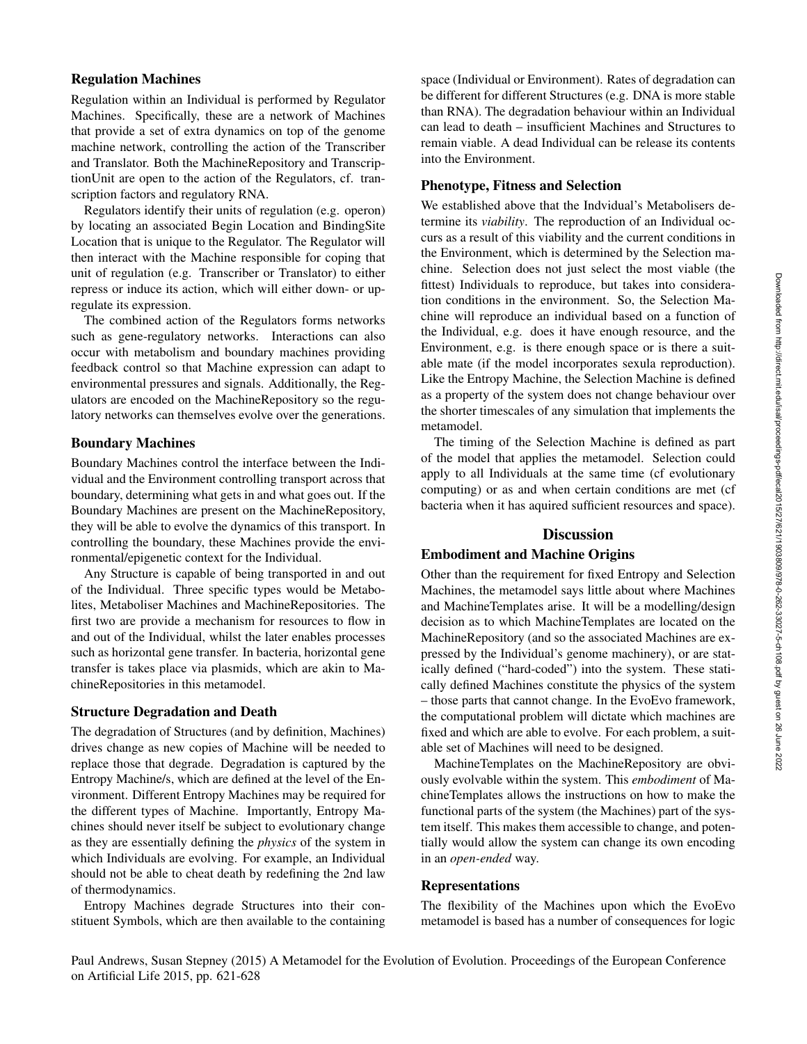## Regulation Machines

Regulation within an Individual is performed by Regulator Machines. Specifically, these are a network of Machines that provide a set of extra dynamics on top of the genome machine network, controlling the action of the Transcriber and Translator. Both the MachineRepository and TranscriptionUnit are open to the action of the Regulators, cf. transcription factors and regulatory RNA.

Regulators identify their units of regulation (e.g. operon) by locating an associated Begin Location and BindingSite Location that is unique to the Regulator. The Regulator will then interact with the Machine responsible for coping that unit of regulation (e.g. Transcriber or Translator) to either repress or induce its action, which will either down- or upregulate its expression.

The combined action of the Regulators forms networks such as gene-regulatory networks. Interactions can also occur with metabolism and boundary machines providing feedback control so that Machine expression can adapt to environmental pressures and signals. Additionally, the Regulators are encoded on the MachineRepository so the regulatory networks can themselves evolve over the generations.

## Boundary Machines

Boundary Machines control the interface between the Individual and the Environment controlling transport across that boundary, determining what gets in and what goes out. If the Boundary Machines are present on the MachineRepository, they will be able to evolve the dynamics of this transport. In controlling the boundary, these Machines provide the environmental/epigenetic context for the Individual.

Any Structure is capable of being transported in and out of the Individual. Three specific types would be Metabolites, Metaboliser Machines and MachineRepositories. The first two are provide a mechanism for resources to flow in and out of the Individual, whilst the later enables processes such as horizontal gene transfer. In bacteria, horizontal gene transfer is takes place via plasmids, which are akin to MachineRepositories in this metamodel.

## Structure Degradation and Death

The degradation of Structures (and by definition, Machines) drives change as new copies of Machine will be needed to replace those that degrade. Degradation is captured by the Entropy Machine/s, which are defined at the level of the Environment. Different Entropy Machines may be required for the different types of Machine. Importantly, Entropy Machines should never itself be subject to evolutionary change as they are essentially defining the *physics* of the system in which Individuals are evolving. For example, an Individual should not be able to cheat death by redefining the 2nd law of thermodynamics.

Entropy Machines degrade Structures into their constituent Symbols, which are then available to the containing

space (Individual or Environment). Rates of degradation can be different for different Structures (e.g. DNA is more stable than RNA). The degradation behaviour within an Individual can lead to death – insufficient Machines and Structures to remain viable. A dead Individual can be release its contents into the Environment.

#### Phenotype, Fitness and Selection

We established above that the Indvidual's Metabolisers determine its *viability*. The reproduction of an Individual occurs as a result of this viability and the current conditions in the Environment, which is determined by the Selection machine. Selection does not just select the most viable (the fittest) Individuals to reproduce, but takes into consideration conditions in the environment. So, the Selection Machine will reproduce an individual based on a function of the Individual, e.g. does it have enough resource, and the Environment, e.g. is there enough space or is there a suitable mate (if the model incorporates sexula reproduction). Like the Entropy Machine, the Selection Machine is defined as a property of the system does not change behaviour over the shorter timescales of any simulation that implements the metamodel.

The timing of the Selection Machine is defined as part of the model that applies the metamodel. Selection could apply to all Individuals at the same time (cf evolutionary computing) or as and when certain conditions are met (cf bacteria when it has aquired sufficient resources and space).

## **Discussion**

#### Embodiment and Machine Origins

Other than the requirement for fixed Entropy and Selection Machines, the metamodel says little about where Machines and MachineTemplates arise. It will be a modelling/design decision as to which MachineTemplates are located on the MachineRepository (and so the associated Machines are expressed by the Individual's genome machinery), or are statically defined ("hard-coded") into the system. These statically defined Machines constitute the physics of the system – those parts that cannot change. In the EvoEvo framework, the computational problem will dictate which machines are fixed and which are able to evolve. For each problem, a suitable set of Machines will need to be designed.

MachineTemplates on the MachineRepository are obviously evolvable within the system. This *embodiment* of MachineTemplates allows the instructions on how to make the functional parts of the system (the Machines) part of the system itself. This makes them accessible to change, and potentially would allow the system can change its own encoding in an *open-ended* way.

## Representations

The flexibility of the Machines upon which the EvoEvo metamodel is based has a number of consequences for logic